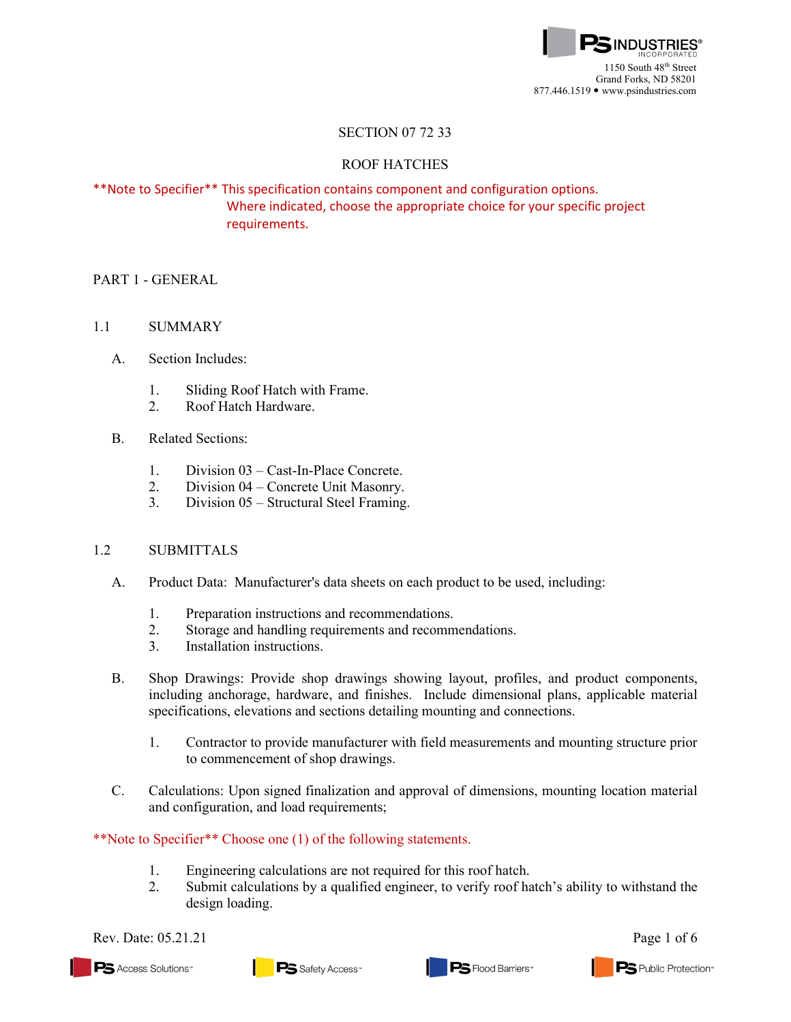

## SECTION 07 72 33

### ROOF HATCHES

# \*\*Note to Specifier\*\* This specification contains component and configuration options. Where indicated, choose the appropriate choice for your specific project requirements.

## PART 1 - GENERAL

### 1.1 SUMMARY

- A. Section Includes:
	- 1. Sliding Roof Hatch with Frame.
	- 2. Roof Hatch Hardware.
- B. Related Sections:
	- 1. Division 03 Cast-In-Place Concrete.
	- 2. Division 04 Concrete Unit Masonry.
	- 3. Division 05 Structural Steel Framing.

### 1.2 SUBMITTALS

- A. [Product Data:](http://www.arcat.com/arcatcos/cos43/arc43416.cfm) Manufacturer's data sheets on each product to be used, including:
	- 1. Preparation instructions and recommendations.
	- 2. Storage and handling requirements and recommendations.
	- 3. Installation instructions.
- B. Shop Drawings: Provide shop drawings showing layout, profiles, and product components, including anchorage, hardware, and finishes. Include dimensional plans, applicable material specifications, elevations and sections detailing mounting and connections.
	- 1. Contractor to provide manufacturer with field measurements and mounting structure prior to commencement of shop drawings.
- C. Calculations: Upon signed finalization and approval of dimensions, mounting location material and configuration, and load requirements;

\*\*Note to Specifier\*\* Choose one (1) of the following statements.

- 1. Engineering calculations are not required for this roof hatch.
- 2. Submit calculations by a qualified engineer, to verify roof hatch's ability to withstand the design loading.

Rev. Date: 05.21.21 Page 1 of 6

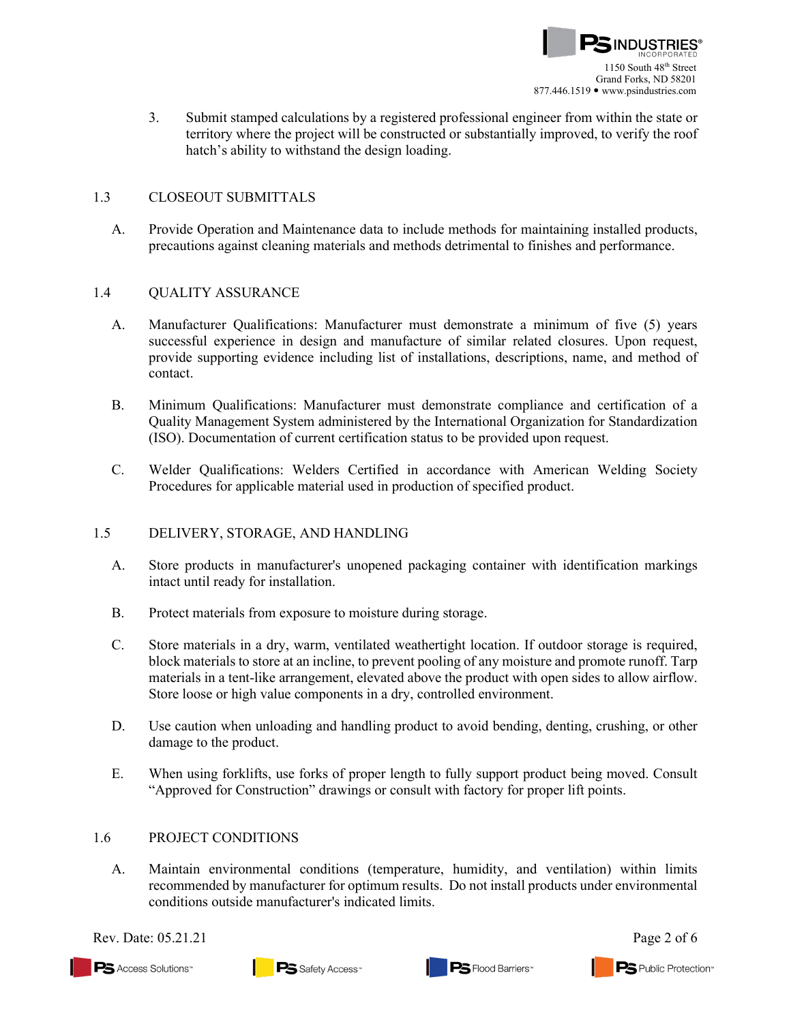

3. Submit stamped calculations by a registered professional engineer from within the state or territory where the project will be constructed or substantially improved, to verify the roof hatch's ability to withstand the design loading.

### 1.3 CLOSEOUT SUBMITTALS

A. Provide Operation and Maintenance data to include methods for maintaining installed products, precautions against cleaning materials and methods detrimental to finishes and performance.

#### 1.4 QUALITY ASSURANCE

- A. Manufacturer Qualifications: Manufacturer must demonstrate a minimum of five (5) years successful experience in design and manufacture of similar related closures. Upon request, provide supporting evidence including list of installations, descriptions, name, and method of contact.
- B. Minimum Qualifications: Manufacturer must demonstrate compliance and certification of a Quality Management System administered by the International Organization for Standardization (ISO). Documentation of current certification status to be provided upon request.
- C. Welder Qualifications: Welders Certified in accordance with American Welding Society Procedures for applicable material used in production of specified product.

#### 1.5 DELIVERY, STORAGE, AND HANDLING

- A. Store products in manufacturer's unopened packaging container with identification markings intact until ready for installation.
- B. Protect materials from exposure to moisture during storage.
- C. Store materials in a dry, warm, ventilated weathertight location. If outdoor storage is required, block materials to store at an incline, to prevent pooling of any moisture and promote runoff. Tarp materials in a tent-like arrangement, elevated above the product with open sides to allow airflow. Store loose or high value components in a dry, controlled environment.
- D. Use caution when unloading and handling product to avoid bending, denting, crushing, or other damage to the product.
- E. When using forklifts, use forks of proper length to fully support product being moved. Consult "Approved for Construction" drawings or consult with factory for proper lift points.

## 1.6 PROJECT CONDITIONS

A. Maintain environmental conditions (temperature, humidity, and ventilation) within limits recommended by manufacturer for optimum results. Do not install products under environmental conditions outside manufacturer's indicated limits.

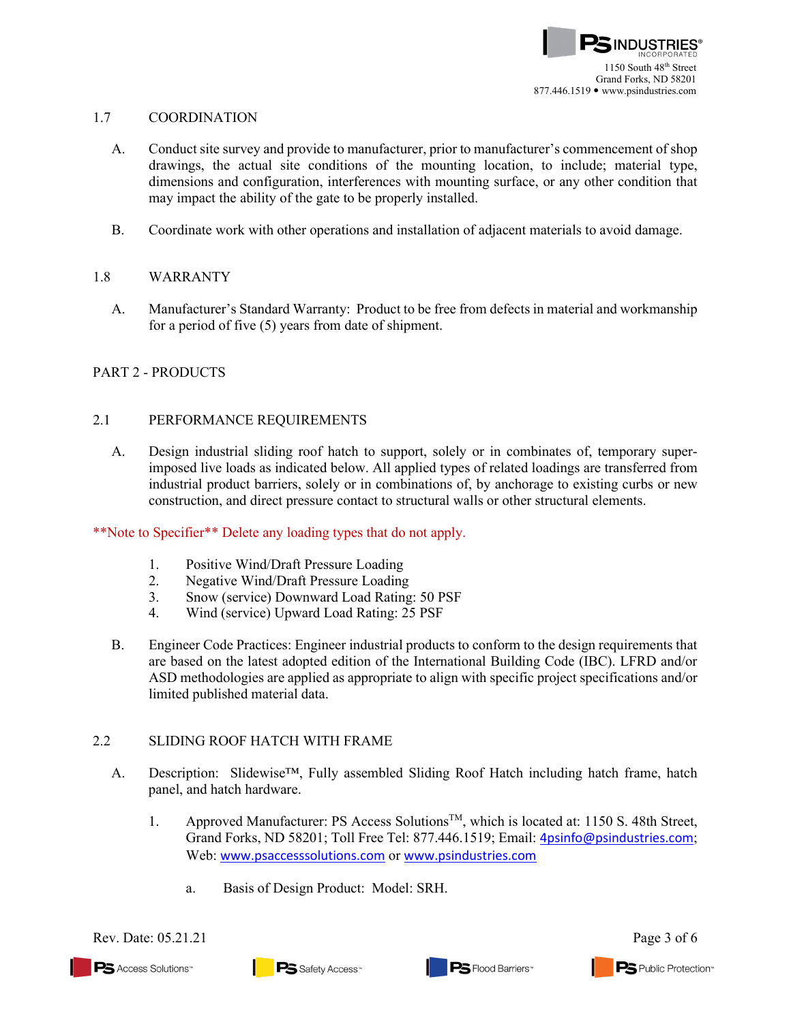### 1.7 COORDINATION

- A. Conduct site survey and provide to manufacturer, prior to manufacturer's commencement of shop drawings, the actual site conditions of the mounting location, to include; material type, dimensions and configuration, interferences with mounting surface, or any other condition that may impact the ability of the gate to be properly installed.
- B. Coordinate work with other operations and installation of adjacent materials to avoid damage.

## 1.8 WARRANTY

A. Manufacturer's Standard Warranty: Product to be free from defects in material and workmanship for a period of five (5) years from date of shipment.

# PART 2 - PRODUCTS

### 2.1 PERFORMANCE REQUIREMENTS

A. Design industrial sliding roof hatch to support, solely or in combinates of, temporary superimposed live loads as indicated below. All applied types of related loadings are transferred from industrial product barriers, solely or in combinations of, by anchorage to existing curbs or new construction, and direct pressure contact to structural walls or other structural elements.

### \*\*Note to Specifier\*\* Delete any loading types that do not apply.

- 1. Positive Wind/Draft Pressure Loading
- 2. Negative Wind/Draft Pressure Loading
- 3. Snow (service) Downward Load Rating: 50 PSF
- 4. Wind (service) Upward Load Rating: 25 PSF
- B. Engineer Code Practices: Engineer industrial products to conform to the design requirements that are based on the latest adopted edition of the International Building Code (IBC). LFRD and/or ASD methodologies are applied as appropriate to align with specific project specifications and/or limited published material data.

# 2.2 SLIDING ROOF HATCH WITH FRAME

- A. Description: Slidewise™, Fully assembled Sliding Roof Hatch including hatch frame, hatch panel, and hatch hardware.
	- 1. Approved Manufacturer: PS Access SolutionsTM, which is located at: 1150 S. 48th Street, Grand Forks, ND 58201; Toll Free Tel: 877.446.1519; Email: [4psinfo@psindustries.com](mailto:4psinfo@psindustries.com); Web: [www.psaccesssolutions.com](http://www.psaccesssolutions.com/) or [www.psindustries.com](http://www.psindustries.com/)
		- a. Basis of Design Product: Model: SRH.

Rev. Date:  $05.21.21$  Page 3 of 6

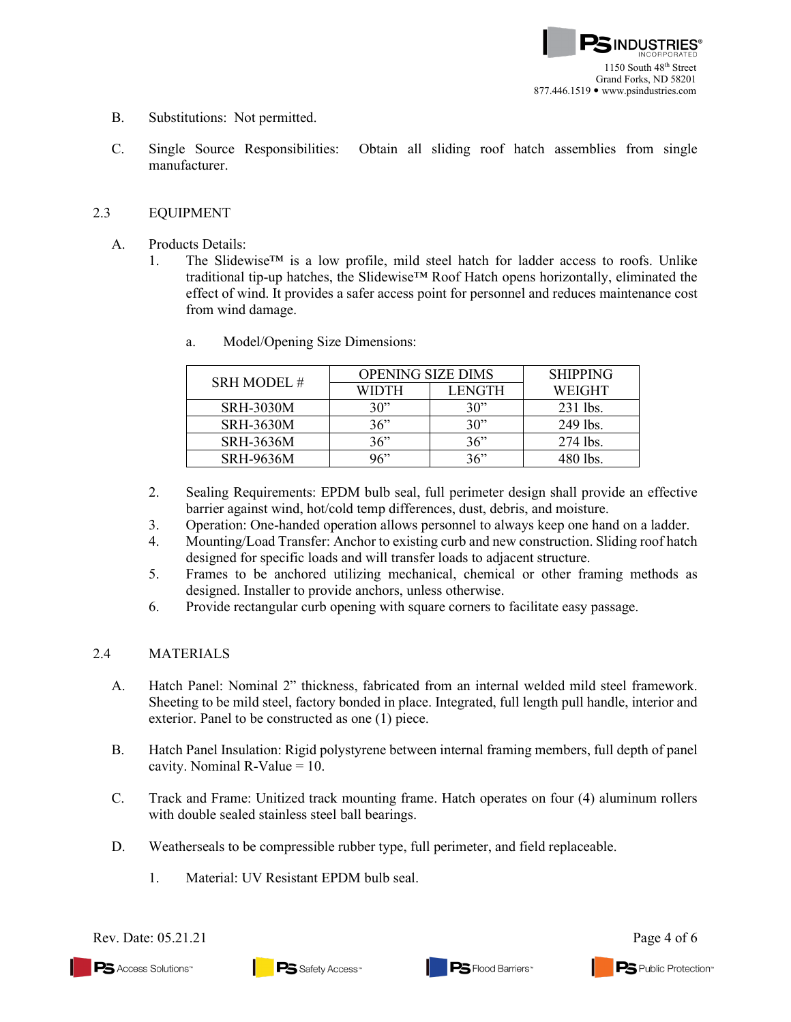- B. Substitutions: Not permitted.
- C. Single Source Responsibilities: Obtain all sliding roof hatch assemblies from single manufacturer.

## 2.3 EQUIPMENT

- A. Products Details:
	- 1. The Slidewise™ is a low profile, mild steel hatch for ladder access to roofs. Unlike traditional tip-up hatches, the Slidewise™ Roof Hatch opens horizontally, eliminated the effect of wind. It provides a safer access point for personnel and reduces maintenance cost from wind damage.

| <b>SRH MODEL#</b> | <b>OPENING SIZE DIMS</b> |        | <b>SHIPPING</b> |
|-------------------|--------------------------|--------|-----------------|
|                   | WIDTH                    | LENGTH | <b>WEIGHT</b>   |
| <b>SRH-3030M</b>  | 30"                      | 30"    | $231$ lbs.      |
| <b>SRH-3630M</b>  | 36"                      | 30"    | 249 lbs.        |
| <b>SRH-3636M</b>  | 36"                      | 36"    | 274 lbs.        |
| <b>SRH-9636M</b>  | 96"                      | 36"    | 480 lbs.        |

a. Model/Opening Size Dimensions:

- 2. Sealing Requirements: EPDM bulb seal, full perimeter design shall provide an effective barrier against wind, hot/cold temp differences, dust, debris, and moisture.
- 3. Operation: One-handed operation allows personnel to always keep one hand on a ladder.
- 4. Mounting/Load Transfer: Anchor to existing curb and new construction. Sliding roof hatch designed for specific loads and will transfer loads to adjacent structure.
- 5. Frames to be anchored utilizing mechanical, chemical or other framing methods as designed. Installer to provide anchors, unless otherwise.
- 6. Provide rectangular curb opening with square corners to facilitate easy passage.

# 2.4 MATERIALS

- A. Hatch Panel: Nominal 2" thickness, fabricated from an internal welded mild steel framework. Sheeting to be mild steel, factory bonded in place. Integrated, full length pull handle, interior and exterior. Panel to be constructed as one (1) piece.
- B. Hatch Panel Insulation: Rigid polystyrene between internal framing members, full depth of panel cavity. Nominal  $R-Value = 10$ .
- C. Track and Frame: Unitized track mounting frame. Hatch operates on four (4) aluminum rollers with double sealed stainless steel ball bearings.
- D. Weatherseals to be compressible rubber type, full perimeter, and field replaceable.
	- 1. Material: UV Resistant EPDM bulb seal.

Rev. Date: 05.21.21 Page 4 of 6

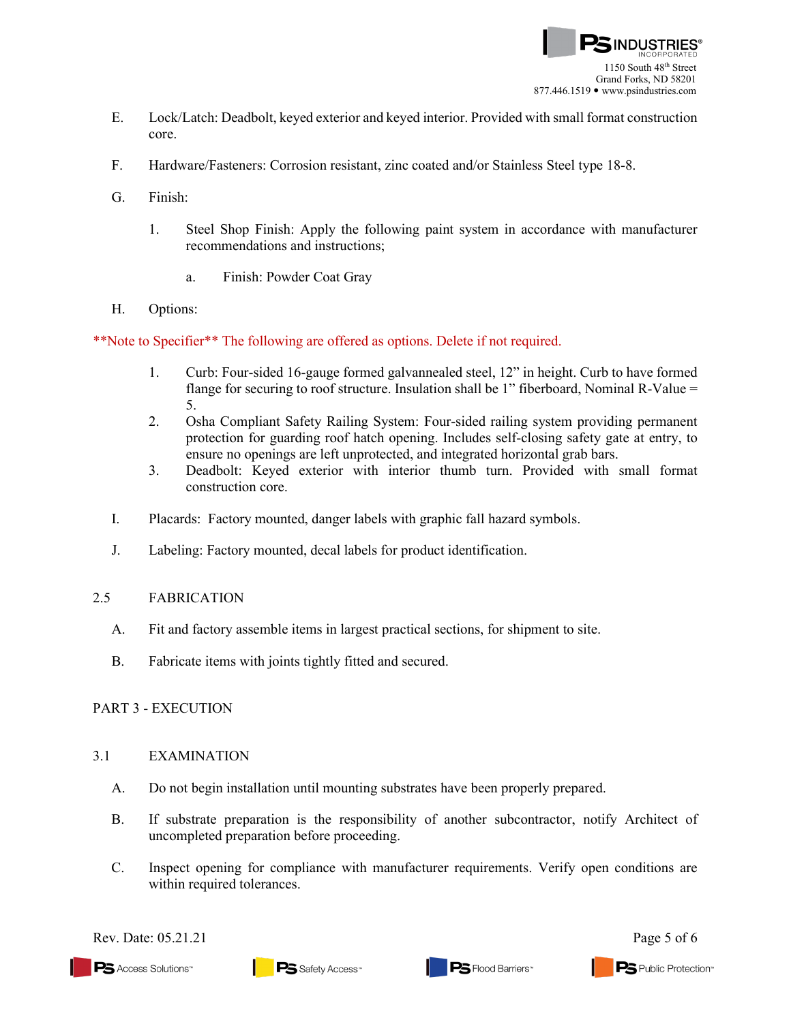

- E. Lock/Latch: Deadbolt, keyed exterior and keyed interior. Provided with small format construction core.
- F. Hardware/Fasteners: Corrosion resistant, zinc coated and/or Stainless Steel type 18-8.
- G. Finish:
	- 1. Steel Shop Finish: Apply the following paint system in accordance with manufacturer recommendations and instructions;
		- a. Finish: Powder Coat Gray
- H. Options:

\*\*Note to Specifier\*\* The following are offered as options. Delete if not required.

- 1. Curb: Four-sided 16-gauge formed galvannealed steel, 12" in height. Curb to have formed flange for securing to roof structure. Insulation shall be 1" fiberboard, Nominal R-Value = 5.
- 2. Osha Compliant Safety Railing System: Four-sided railing system providing permanent protection for guarding roof hatch opening. Includes self-closing safety gate at entry, to ensure no openings are left unprotected, and integrated horizontal grab bars.
- 3. Deadbolt: Keyed exterior with interior thumb turn. Provided with small format construction core.
- I. Placards: Factory mounted, danger labels with graphic fall hazard symbols.
- J. Labeling: Factory mounted, decal labels for product identification.

### 2.5 FABRICATION

- A. Fit and factory assemble items in largest practical sections, for shipment to site.
- B. Fabricate items with joints tightly fitted and secured.

### PART 3 - EXECUTION

### 3.1 EXAMINATION

- A. Do not begin installation until mounting substrates have been properly prepared.
- B. If substrate preparation is the responsibility of another subcontractor, notify Architect of uncompleted preparation before proceeding.
- C. Inspect opening for compliance with manufacturer requirements. Verify open conditions are within required tolerances.

Rev. Date:  $05.21.21$  Page 5 of 6